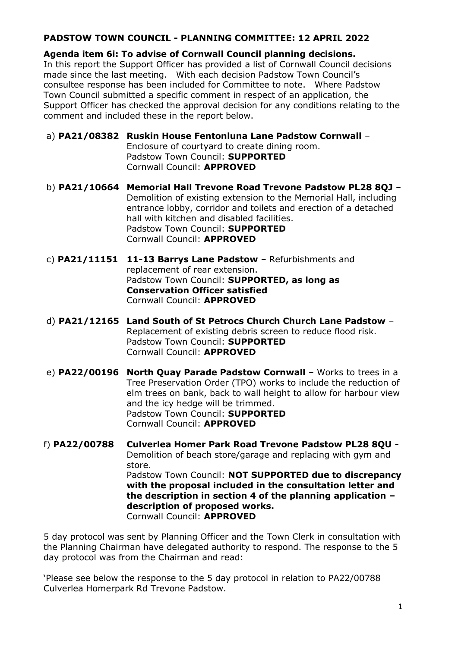## **PADSTOW TOWN COUNCIL - PLANNING COMMITTEE: 12 APRIL 2022**

**Agenda item 6i: To advise of Cornwall Council planning decisions.** In this report the Support Officer has provided a list of Cornwall Council decisions made since the last meeting. With each decision Padstow Town Council's consultee response has been included for Committee to note. Where Padstow Town Council submitted a specific comment in respect of an application, the Support Officer has checked the approval decision for any conditions relating to the comment and included these in the report below.

a) **PA21/08382 Ruskin House Fentonluna Lane Padstow Cornwall** – Enclosure of courtyard to create dining room. Padstow Town Council: **SUPPORTED** Cornwall Council: **APPROVED**

- b) **PA21/10664 Memorial Hall Trevone Road Trevone Padstow PL28 8QJ** Demolition of existing extension to the Memorial Hall, including entrance lobby, corridor and toilets and erection of a detached hall with kitchen and disabled facilities. Padstow Town Council: **SUPPORTED**  Cornwall Council: **APPROVED**
- c) **PA21/11151 11-13 Barrys Lane Padstow** Refurbishments and replacement of rear extension. Padstow Town Council: **SUPPORTED, as long as Conservation Officer satisfied** Cornwall Council: **APPROVED**
- d) **PA21/12165 Land South of St Petrocs Church Church Lane Padstow** Replacement of existing debris screen to reduce flood risk. Padstow Town Council: **SUPPORTED**  Cornwall Council: **APPROVED**
- e) **PA22/00196 North Quay Parade Padstow Cornwall** Works to trees in a Tree Preservation Order (TPO) works to include the reduction of elm trees on bank, back to wall height to allow for harbour view and the icy hedge will be trimmed. Padstow Town Council: **SUPPORTED**  Cornwall Council: **APPROVED**
- f) **PA22/00788 Culverlea Homer Park Road Trevone Padstow PL28 8QU -** Demolition of beach store/garage and replacing with gym and store. Padstow Town Council: **NOT SUPPORTED due to discrepancy with the proposal included in the consultation letter and the description in section 4 of the planning application – description of proposed works.**  Cornwall Council: **APPROVED**

5 day protocol was sent by Planning Officer and the Town Clerk in consultation with the Planning Chairman have delegated authority to respond. The response to the 5 day protocol was from the Chairman and read:

'Please see below the response to the 5 day protocol in relation to PA22/00788 Culverlea Homerpark Rd Trevone Padstow.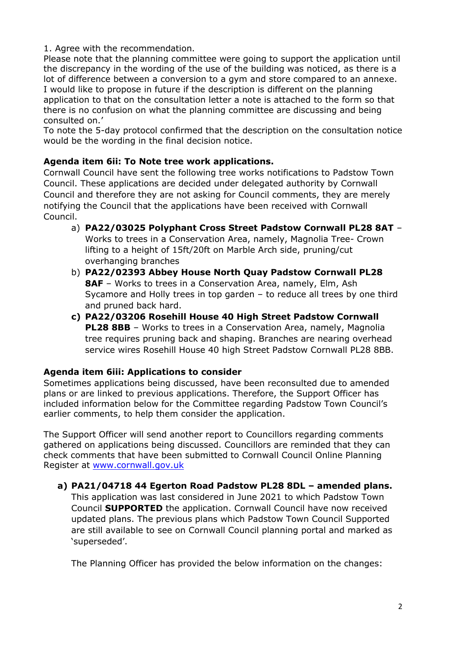1. Agree with the recommendation.

Please note that the planning committee were going to support the application until the discrepancy in the wording of the use of the building was noticed, as there is a lot of difference between a conversion to a gym and store compared to an annexe. I would like to propose in future if the description is different on the planning application to that on the consultation letter a note is attached to the form so that there is no confusion on what the planning committee are discussing and being consulted on.'

To note the 5-day protocol confirmed that the description on the consultation notice would be the wording in the final decision notice.

## **Agenda item 6ii: To Note tree work applications.**

Cornwall Council have sent the following tree works notifications to Padstow Town Council. These applications are decided under delegated authority by Cornwall Council and therefore they are not asking for Council comments, they are merely notifying the Council that the applications have been received with Cornwall Council.

- a) **PA22/03025 Polyphant Cross Street Padstow Cornwall PL28 8AT** Works to trees in a Conservation Area, namely, Magnolia Tree- Crown lifting to a height of 15ft/20ft on Marble Arch side, pruning/cut overhanging branches
- b) **PA22/02393 Abbey House North Quay Padstow Cornwall PL28 8AF** – Works to trees in a Conservation Area, namely, Elm, Ash Sycamore and Holly trees in top garden – to reduce all trees by one third and pruned back hard.
- **c) PA22/03206 Rosehill House 40 High Street Padstow Cornwall PL28 8BB** – Works to trees in a Conservation Area, namely, Magnolia tree requires pruning back and shaping. Branches are nearing overhead service wires Rosehill House 40 high Street Padstow Cornwall PL28 8BB.

## **Agenda item 6iii: Applications to consider**

Sometimes applications being discussed, have been reconsulted due to amended plans or are linked to previous applications. Therefore, the Support Officer has included information below for the Committee regarding Padstow Town Council's earlier comments, to help them consider the application.

The Support Officer will send another report to Councillors regarding comments gathered on applications being discussed. Councillors are reminded that they can check comments that have been submitted to Cornwall Council Online Planning Register at [www.cornwall.gov.uk](http://www.cornwall.gov.uk/)

**a) PA21/04718 44 Egerton Road Padstow PL28 8DL – amended plans.** 

This application was last considered in June 2021 to which Padstow Town Council **SUPPORTED** the application. Cornwall Council have now received updated plans. The previous plans which Padstow Town Council Supported are still available to see on Cornwall Council planning portal and marked as 'superseded'.

The Planning Officer has provided the below information on the changes: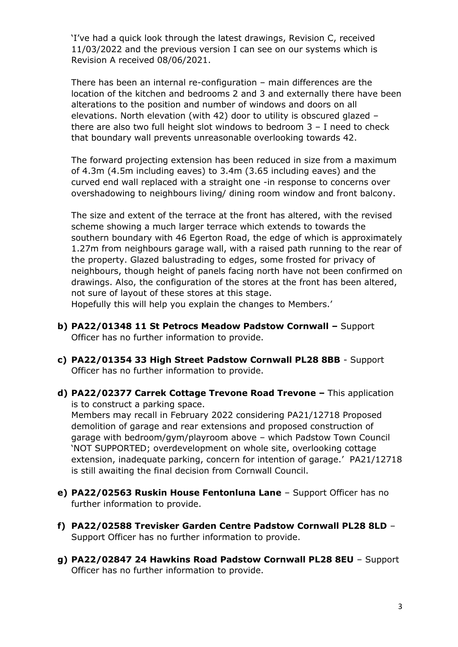'I've had a quick look through the latest drawings, Revision C, received 11/03/2022 and the previous version I can see on our systems which is Revision A received 08/06/2021.

There has been an internal re-configuration – main differences are the location of the kitchen and bedrooms 2 and 3 and externally there have been alterations to the position and number of windows and doors on all elevations. North elevation (with 42) door to utility is obscured glazed – there are also two full height slot windows to bedroom 3 – I need to check that boundary wall prevents unreasonable overlooking towards 42.

The forward projecting extension has been reduced in size from a maximum of 4.3m (4.5m including eaves) to 3.4m (3.65 including eaves) and the curved end wall replaced with a straight one -in response to concerns over overshadowing to neighbours living/ dining room window and front balcony.

The size and extent of the terrace at the front has altered, with the revised scheme showing a much larger terrace which extends to towards the southern boundary with 46 Egerton Road, the edge of which is approximately 1.27m from neighbours garage wall, with a raised path running to the rear of the property. Glazed balustrading to edges, some frosted for privacy of neighbours, though height of panels facing north have not been confirmed on drawings. Also, the configuration of the stores at the front has been altered, not sure of layout of these stores at this stage.

Hopefully this will help you explain the changes to Members.'

- **b) PA22/01348 11 St Petrocs Meadow Padstow Cornwall –** Support Officer has no further information to provide.
- **c) PA22/01354 33 High Street Padstow Cornwall PL28 8BB** Support Officer has no further information to provide.
- **d) PA22/02377 Carrek Cottage Trevone Road Trevone –** This application is to construct a parking space. Members may recall in February 2022 considering PA21/12718 Proposed

demolition of garage and rear extensions and proposed construction of garage with bedroom/gym/playroom above – which Padstow Town Council 'NOT SUPPORTED; overdevelopment on whole site, overlooking cottage extension, inadequate parking, concern for intention of garage.' PA21/12718 is still awaiting the final decision from Cornwall Council.

- **e) PA22/02563 Ruskin House Fentonluna Lane** Support Officer has no further information to provide.
- **f) PA22/02588 Trevisker Garden Centre Padstow Cornwall PL28 8LD** Support Officer has no further information to provide.
- **g) PA22/02847 24 Hawkins Road Padstow Cornwall PL28 8EU** Support Officer has no further information to provide.